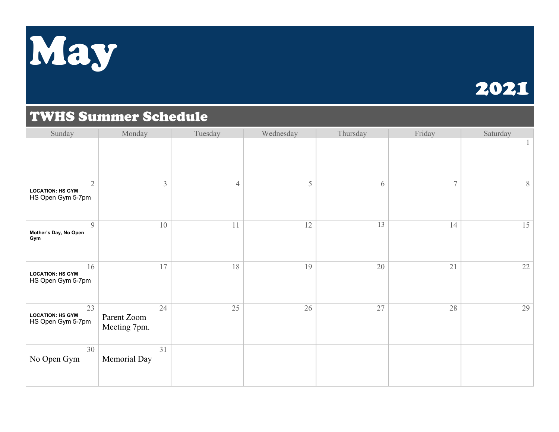

### 2021

#### TWHS Summer Schedule

| Sunday                                                         | Monday                            | Tuesday        | Wednesday | Thursday | Friday | Saturday |
|----------------------------------------------------------------|-----------------------------------|----------------|-----------|----------|--------|----------|
|                                                                |                                   |                |           |          |        |          |
| $\overline{2}$<br><b>LOCATION: HS GYM</b><br>HS Open Gym 5-7pm | $\mathfrak{Z}$                    | $\overline{4}$ | 5         | 6        | 7      | 8        |
| 9<br>Mother's Day, No Open<br>Gym                              | 10                                | 11             | 12        | 13       | 14     | 15       |
| 16<br><b>LOCATION: HS GYM</b><br>HS Open Gym 5-7pm             | 17                                | 18             | 19        | 20       | 21     | $22\,$   |
| 23<br><b>LOCATION: HS GYM</b><br>HS Open Gym 5-7pm             | 24<br>Parent Zoom<br>Meeting 7pm. | 25             | 26        | 27       | 28     | 29       |
| 30<br>No Open Gym                                              | 31<br>Memorial Day                |                |           |          |        |          |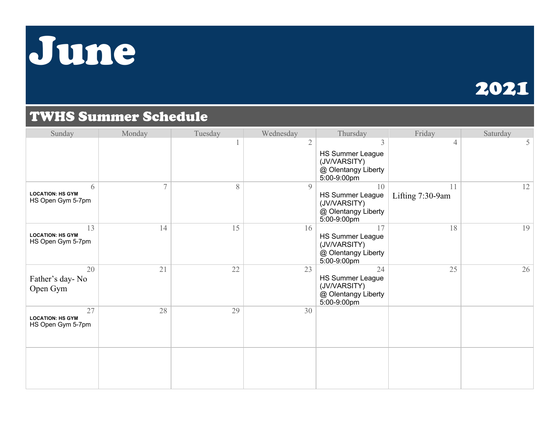## June

## 2021

### TWHS Summer Schedule

| Sunday                                             | Monday         | Tuesday | Wednesday      | Thursday                                                                            | Friday                 | Saturday |
|----------------------------------------------------|----------------|---------|----------------|-------------------------------------------------------------------------------------|------------------------|----------|
|                                                    |                |         | 2              | 3<br><b>HS Summer League</b><br>(JV/VARSITY)<br>@ Olentangy Liberty<br>5:00-9:00pm  | 4                      | 5        |
| 6<br><b>LOCATION: HS GYM</b><br>HS Open Gym 5-7pm  | $\overline{7}$ | 8       | $\overline{Q}$ | 10<br><b>HS Summer League</b><br>(JV/VARSITY)<br>@ Olentangy Liberty<br>5:00-9:00pm | 11<br>Lifting 7:30-9am | 12       |
| 13<br><b>LOCATION: HS GYM</b><br>HS Open Gym 5-7pm | 14             | 15      | 16             | 17<br><b>HS Summer League</b><br>(JV/VARSITY)<br>@ Olentangy Liberty<br>5:00-9:00pm | 18                     | 19       |
| 20<br>Father's day-No<br>Open Gym                  | 21             | 22      | 23             | 24<br>HS Summer League<br>(JV/VARSITY)<br>@ Olentangy Liberty<br>5:00-9:00pm        | 25                     | 26       |
| 27<br><b>LOCATION: HS GYM</b><br>HS Open Gym 5-7pm | 28             | 29      | 30             |                                                                                     |                        |          |
|                                                    |                |         |                |                                                                                     |                        |          |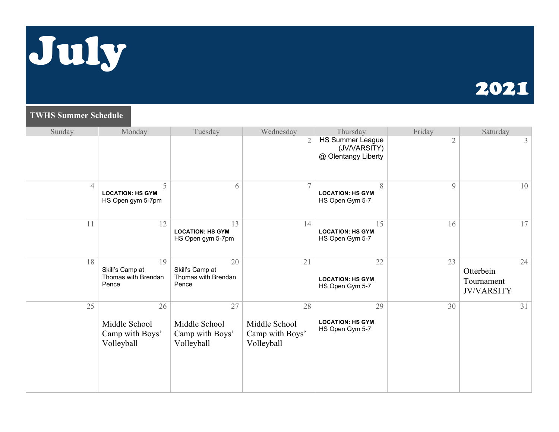

### 2021

#### **TWHS Summer Schedule**

| Sunday         | Monday                                                | Tuesday                                               | Wednesday                                            | Thursday                                                       | Friday         | Saturday                                           |
|----------------|-------------------------------------------------------|-------------------------------------------------------|------------------------------------------------------|----------------------------------------------------------------|----------------|----------------------------------------------------|
|                |                                                       |                                                       | $\overline{2}$                                       | <b>HS Summer League</b><br>(JV/VARSITY)<br>@ Olentangy Liberty | $\overline{2}$ | 3                                                  |
| $\overline{4}$ | 5<br><b>LOCATION: HS GYM</b><br>HS Open gym 5-7pm     | 6                                                     | $\tau$                                               | 8<br><b>LOCATION: HS GYM</b><br>HS Open Gym 5-7                | 9              | 10                                                 |
| 11             | 12                                                    | 13<br><b>LOCATION: HS GYM</b><br>HS Open gym 5-7pm    | 14                                                   | 15<br><b>LOCATION: HS GYM</b><br>HS Open Gym 5-7               | 16             | 17                                                 |
| 18             | 19<br>Skill's Camp at<br>Thomas with Brendan<br>Pence | 20<br>Skill's Camp at<br>Thomas with Brendan<br>Pence | 21                                                   | 22<br><b>LOCATION: HS GYM</b><br>HS Open Gym 5-7               | 23             | 24<br>Otterbein<br>Tournament<br><b>JV/VARSITY</b> |
| 25             | 26<br>Middle School<br>Camp with Boys'<br>Volleyball  | 27<br>Middle School<br>Camp with Boys'<br>Volleyball  | 28<br>Middle School<br>Camp with Boys'<br>Volleyball | 29<br><b>LOCATION: HS GYM</b><br>HS Open Gym 5-7               | 30             | 31                                                 |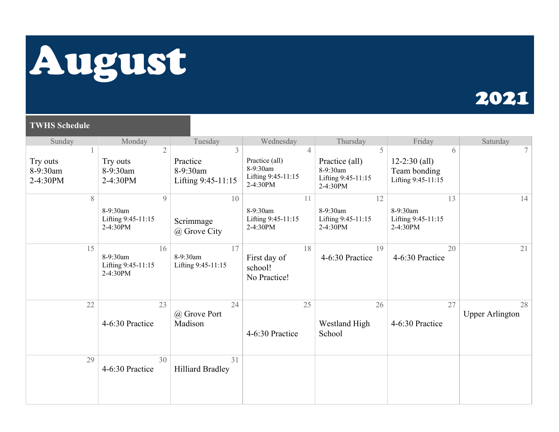# August

### 2021

#### **TWHS Schedule**

| Sunday                           | Monday                                             | Tuesday                                         | Wednesday                                                                      | Thursday                                                          | Friday                                                       | Saturday                     |
|----------------------------------|----------------------------------------------------|-------------------------------------------------|--------------------------------------------------------------------------------|-------------------------------------------------------------------|--------------------------------------------------------------|------------------------------|
| Try outs<br>8-9:30am<br>2-4:30PM | $\mathfrak{2}$<br>Try outs<br>8-9:30am<br>2-4:30PM | 3<br>Practice<br>8-9:30am<br>Lifting 9:45-11:15 | $\overline{4}$<br>Practice (all)<br>8-9:30am<br>Lifting 9:45-11:15<br>2-4:30PM | 5<br>Practice (all)<br>8-9:30am<br>Lifting 9:45-11:15<br>2-4:30PM | 6<br>$12 - 2:30$ (all)<br>Team bonding<br>Lifting 9:45-11:15 | 7 <sup>1</sup>               |
| 8                                | 9<br>8-9:30am<br>Lifting 9:45-11:15<br>2-4:30PM    | 10<br>Scrimmage<br>@ Grove City                 | 11<br>8-9:30am<br>Lifting 9:45-11:15<br>2-4:30PM                               | 12<br>8-9:30am<br>Lifting 9:45-11:15<br>2-4:30PM                  | 13<br>8-9:30am<br>Lifting 9:45-11:15<br>2-4:30PM             | 14                           |
| 15                               | 16<br>8-9:30am<br>Lifting 9:45-11:15<br>2-4:30PM   | 17<br>8-9:30am<br>Lifting 9:45-11:15            | 18<br>First day of<br>school!<br>No Practice!                                  | 19<br>4-6:30 Practice                                             | 20<br>4-6:30 Practice                                        | 21                           |
| 22                               | 23<br>4-6:30 Practice                              | 24<br>@ Grove Port<br>Madison                   | 25<br>4-6:30 Practice                                                          | 26<br>Westland High<br>School                                     | 27<br>4-6:30 Practice                                        | 28<br><b>Upper Arlington</b> |
| 29                               | 30<br>4-6:30 Practice                              | 31<br><b>Hilliard Bradley</b>                   |                                                                                |                                                                   |                                                              |                              |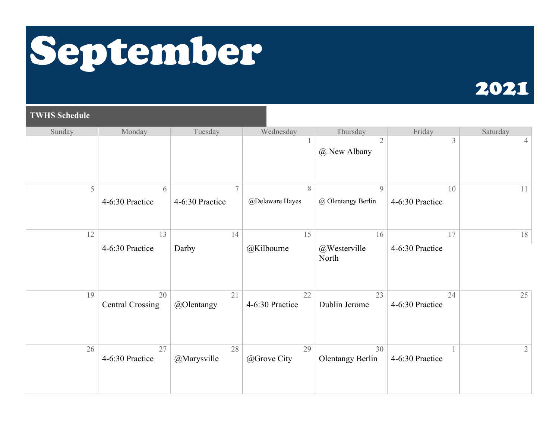# September

## 2021

#### **TWHS Schedule**

| Sunday | Monday                        | Tuesday              | Wednesday             | Thursday                            | Friday                | Saturday       |
|--------|-------------------------------|----------------------|-----------------------|-------------------------------------|-----------------------|----------------|
|        |                               |                      |                       | $\mathfrak{2}$<br>@ New Albany      | 3                     | 4              |
| 5      | 6<br>4-6:30 Practice          | 7<br>4-6:30 Practice | 8<br>@Delaware Hayes  | $\mathcal{G}$<br>@ Olentangy Berlin | 10<br>4-6:30 Practice | 11             |
| 12     | 13<br>4-6:30 Practice         | 14<br>Darby          | 15<br>@Kilbourne      | 16<br>@Westerville                  | 17<br>4-6:30 Practice | 18             |
|        |                               |                      |                       | North                               |                       |                |
| 19     | 20<br><b>Central Crossing</b> | 21<br>@Olentangy     | 22<br>4-6:30 Practice | 23<br>Dublin Jerome                 | 24<br>4-6:30 Practice | 25             |
| 26     | 27<br>4-6:30 Practice         | 28<br>@Marysville    | 29<br>@Grove City     | 30<br><b>Olentangy Berlin</b>       | 4-6:30 Practice       | $\overline{2}$ |